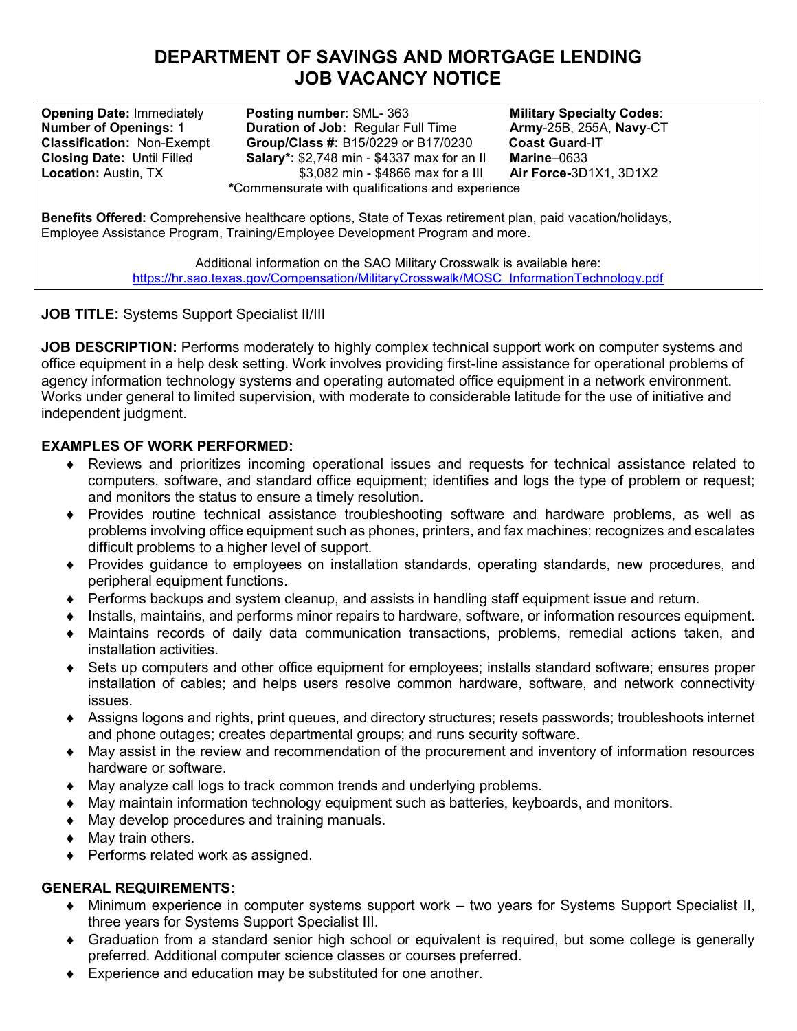# **DEPARTMENT OF SAVINGS AND MORTGAGE LENDING JOB VACANCY NOTICE**

**Opening Date:** Immediately **Posting number**: SML- 363 **Military Specialty Codes:**<br>**Number of Openings: 1 Duration of Job:** Regular Full Time **Army-**25B, 255A, Navy-CT **Number of Openings: 1 Duration of Job:** Regular Full Time<br>Classification: Non-Exempt Group/Class #: B15/0229 or B17/02 **Group/Class #: B15/0229 or B17/0230 Closing Date:** Until Filled **Salary\*:** \$2,748 min - \$4337 max for an II<br>**Location:** Austin, TX **53,082 min - \$4866 max for a III** \$3,082 min - \$4866 max for a III **\***Commensurate with qualifications and experience

**Army**-25B, 255A, **Navy**-CT **Coast Guard**-IT **Marine**–0633 **Air Force-**3D1X1, 3D1X2

**Benefits Offered:** Comprehensive healthcare options, State of Texas retirement plan, paid vacation/holidays, Employee Assistance Program, Training/Employee Development Program and more.

> Additional information on the SAO Military Crosswalk is available here: [https://hr.sao.texas.gov/Compensation/MilitaryCrosswalk/MOSC\\_InformationTechnology.pdf](https://hr.sao.texas.gov/Compensation/MilitaryCrosswalk/MOSC_InformationTechnology.pdf)

## **JOB TITLE:** Systems Support Specialist II/III

**JOB DESCRIPTION:** Performs moderately to highly complex technical support work on computer systems and office equipment in a help desk setting. Work involves providing first-line assistance for operational problems of agency information technology systems and operating automated office equipment in a network environment. Works under general to limited supervision, with moderate to considerable latitude for the use of initiative and independent judgment.

### **EXAMPLES OF WORK PERFORMED:**

- Reviews and prioritizes incoming operational issues and requests for technical assistance related to computers, software, and standard office equipment; identifies and logs the type of problem or request; and monitors the status to ensure a timely resolution.
- Provides routine technical assistance troubleshooting software and hardware problems, as well as problems involving office equipment such as phones, printers, and fax machines; recognizes and escalates difficult problems to a higher level of support.
- Provides guidance to employees on installation standards, operating standards, new procedures, and peripheral equipment functions.
- Performs backups and system cleanup, and assists in handling staff equipment issue and return.
- Installs, maintains, and performs minor repairs to hardware, software, or information resources equipment.
- Maintains records of daily data communication transactions, problems, remedial actions taken, and installation activities.
- Sets up computers and other office equipment for employees; installs standard software; ensures proper installation of cables; and helps users resolve common hardware, software, and network connectivity issues.
- Assigns logons and rights, print queues, and directory structures; resets passwords; troubleshoots internet and phone outages; creates departmental groups; and runs security software.
- May assist in the review and recommendation of the procurement and inventory of information resources hardware or software.
- May analyze call logs to track common trends and underlying problems.
- May maintain information technology equipment such as batteries, keyboards, and monitors.
- May develop procedures and training manuals.
- May train others.
- ◆ Performs related work as assigned.

#### **GENERAL REQUIREMENTS:**

- Minimum experience in computer systems support work two years for Systems Support Specialist II, three years for Systems Support Specialist III.
- Graduation from a standard senior high school or equivalent is required, but some college is generally preferred. Additional computer science classes or courses preferred.
- Experience and education may be substituted for one another.